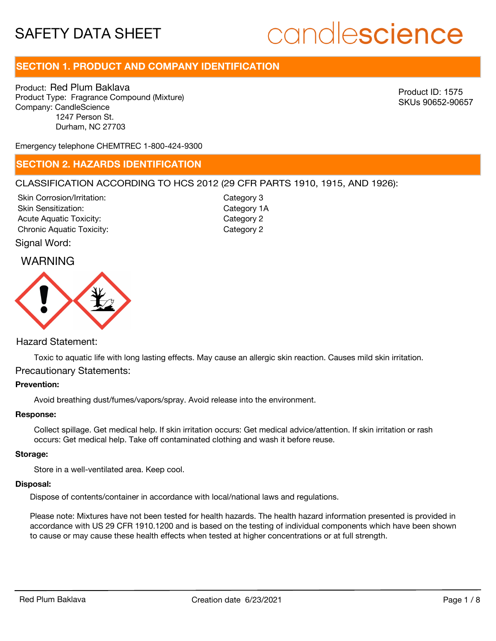# candlescience

# **SECTION 1. PRODUCT AND COMPANY IDENTIFICATION**

Product: Red Plum Baklava Product Type: Fragrance Compound (Mixture) Company: CandleScience 1247 Person St. Durham, NC 27703

Product ID: 1575 SKUs 90652-90657

Emergency telephone CHEMTREC 1-800-424-9300

## **SECTION 2. HAZARDS IDENTIFICATION**

#### CLASSIFICATION ACCORDING TO HCS 2012 (29 CFR PARTS 1910, 1915, AND 1926):

Skin Corrosion/Irritation: Skin Sensitization: Acute Aquatic Toxicity: Category 2 Chronic Aquatic Toxicity: Chronic Aquatic Toxicity:

Category 3 Category 1A

Signal Word:

## WARNING



#### Hazard Statement:

Toxic to aquatic life with long lasting effects. May cause an allergic skin reaction. Causes mild skin irritation. Precautionary Statements:

#### **Prevention:**

Avoid breathing dust/fumes/vapors/spray. Avoid release into the environment.

#### **Response:**

Collect spillage. Get medical help. If skin irritation occurs: Get medical advice/attention. If skin irritation or rash occurs: Get medical help. Take off contaminated clothing and wash it before reuse.

#### **Storage:**

Store in a well-ventilated area. Keep cool.

#### **Disposal:**

Dispose of contents/container in accordance with local/national laws and regulations.

Please note: Mixtures have not been tested for health hazards. The health hazard information presented is provided in accordance with US 29 CFR 1910.1200 and is based on the testing of individual components which have been shown to cause or may cause these health effects when tested at higher concentrations or at full strength.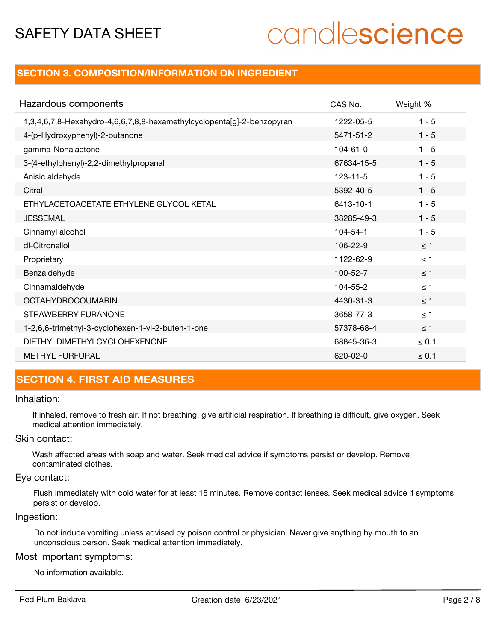# candlescience

## **SECTION 3. COMPOSITION/INFORMATION ON INGREDIENT**

| Hazardous components                                                   | CAS No.        | Weight %   |
|------------------------------------------------------------------------|----------------|------------|
| 1,3,4,6,7,8-Hexahydro-4,6,6,7,8,8-hexamethylcyclopenta[g]-2-benzopyran | 1222-05-5      | $1 - 5$    |
| 4-(p-Hydroxyphenyl)-2-butanone                                         | 5471-51-2      | $1 - 5$    |
| gamma-Nonalactone                                                      | $104 - 61 - 0$ | $1 - 5$    |
| 3-(4-ethylphenyl)-2,2-dimethylpropanal                                 | 67634-15-5     | $1 - 5$    |
| Anisic aldehyde                                                        | $123 - 11 - 5$ | $1 - 5$    |
| Citral                                                                 | 5392-40-5      | $1 - 5$    |
| ETHYLACETOACETATE ETHYLENE GLYCOL KETAL                                | 6413-10-1      | $1 - 5$    |
| <b>JESSEMAL</b>                                                        | 38285-49-3     | $1 - 5$    |
| Cinnamyl alcohol                                                       | $104 - 54 - 1$ | $1 - 5$    |
| dl-Citronellol                                                         | 106-22-9       | $\leq$ 1   |
| Proprietary                                                            | 1122-62-9      | $\leq$ 1   |
| Benzaldehyde                                                           | $100 - 52 - 7$ | $\leq$ 1   |
| Cinnamaldehyde                                                         | 104-55-2       | $\leq$ 1   |
| <b>OCTAHYDROCOUMARIN</b>                                               | 4430-31-3      | $\leq$ 1   |
| STRAWBERRY FURANONE                                                    | 3658-77-3      | $\leq$ 1   |
| 1-2,6,6-trimethyl-3-cyclohexen-1-yl-2-buten-1-one                      | 57378-68-4     | < 1        |
| <b>DIETHYLDIMETHYLCYCLOHEXENONE</b>                                    | 68845-36-3     | $\leq 0.1$ |
| <b>METHYL FURFURAL</b>                                                 | 620-02-0       | $\leq 0.1$ |

# **SECTION 4. FIRST AID MEASURES**

#### Inhalation:

If inhaled, remove to fresh air. If not breathing, give artificial respiration. If breathing is difficult, give oxygen. Seek medical attention immediately.

### Skin contact:

Wash affected areas with soap and water. Seek medical advice if symptoms persist or develop. Remove contaminated clothes.

#### Eye contact:

Flush immediately with cold water for at least 15 minutes. Remove contact lenses. Seek medical advice if symptoms persist or develop.

#### Ingestion:

Do not induce vomiting unless advised by poison control or physician. Never give anything by mouth to an unconscious person. Seek medical attention immediately.

#### Most important symptoms:

No information available.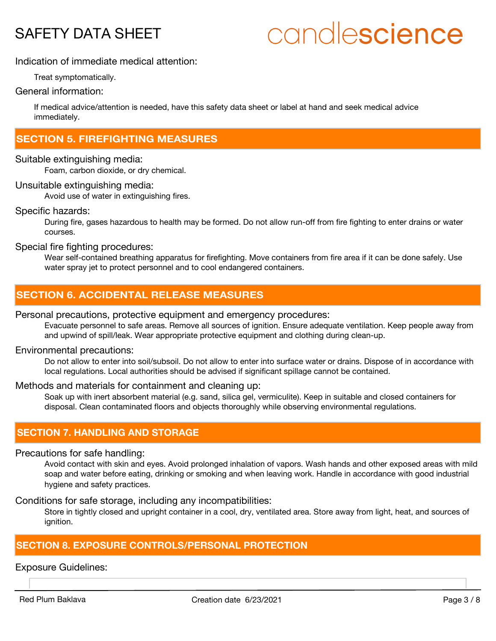# candlescience

### Indication of immediate medical attention:

Treat symptomatically.

#### General information:

If medical advice/attention is needed, have this safety data sheet or label at hand and seek medical advice immediately.

## **SECTION 5. FIREFIGHTING MEASURES**

#### Suitable extinguishing media:

Foam, carbon dioxide, or dry chemical.

#### Unsuitable extinguishing media:

Avoid use of water in extinguishing fires.

#### Specific hazards:

During fire, gases hazardous to health may be formed. Do not allow run-off from fire fighting to enter drains or water courses.

#### Special fire fighting procedures:

Wear self-contained breathing apparatus for firefighting. Move containers from fire area if it can be done safely. Use water spray jet to protect personnel and to cool endangered containers.

# **SECTION 6. ACCIDENTAL RELEASE MEASURES**

#### Personal precautions, protective equipment and emergency procedures:

Evacuate personnel to safe areas. Remove all sources of ignition. Ensure adequate ventilation. Keep people away from and upwind of spill/leak. Wear appropriate protective equipment and clothing during clean-up.

#### Environmental precautions:

Do not allow to enter into soil/subsoil. Do not allow to enter into surface water or drains. Dispose of in accordance with local regulations. Local authorities should be advised if significant spillage cannot be contained.

#### Methods and materials for containment and cleaning up:

Soak up with inert absorbent material (e.g. sand, silica gel, vermiculite). Keep in suitable and closed containers for disposal. Clean contaminated floors and objects thoroughly while observing environmental regulations.

### **SECTION 7. HANDLING AND STORAGE**

#### Precautions for safe handling:

Avoid contact with skin and eyes. Avoid prolonged inhalation of vapors. Wash hands and other exposed areas with mild soap and water before eating, drinking or smoking and when leaving work. Handle in accordance with good industrial hygiene and safety practices.

Conditions for safe storage, including any incompatibilities:

Store in tightly closed and upright container in a cool, dry, ventilated area. Store away from light, heat, and sources of ignition.

# **SECTION 8. EXPOSURE CONTROLS/PERSONAL PROTECTION**

Exposure Guidelines: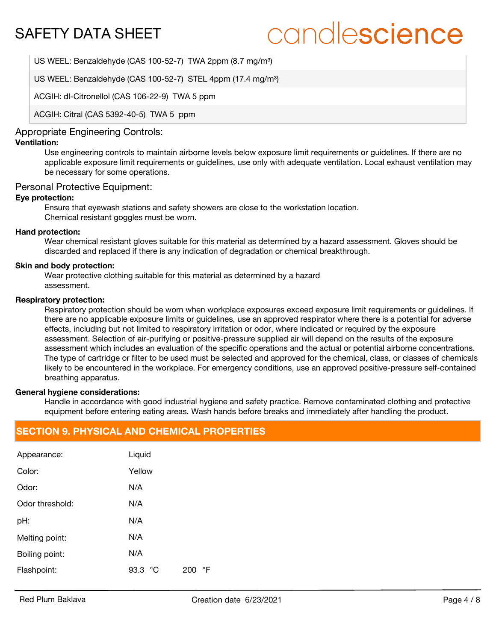# candlescience

US WEEL: Benzaldehyde (CAS 100-52-7) TWA 2ppm (8.7 mg/m<sup>3</sup>)

US WEEL: Benzaldehyde (CAS 100-52-7) STEL 4ppm (17.4 mg/m<sup>3</sup>)

ACGIH: dl-Citronellol (CAS 106-22-9) TWA 5 ppm

ACGIH: Citral (CAS 5392-40-5) TWA 5 ppm

#### Appropriate Engineering Controls:

### **Ventilation:**

Use engineering controls to maintain airborne levels below exposure limit requirements or guidelines. If there are no applicable exposure limit requirements or guidelines, use only with adequate ventilation. Local exhaust ventilation may be necessary for some operations.

#### Personal Protective Equipment:

#### **Eye protection:**

Ensure that eyewash stations and safety showers are close to the workstation location. Chemical resistant goggles must be worn.

#### **Hand protection:**

Wear chemical resistant gloves suitable for this material as determined by a hazard assessment. Gloves should be discarded and replaced if there is any indication of degradation or chemical breakthrough.

#### **Skin and body protection:**

Wear protective clothing suitable for this material as determined by a hazard assessment.

#### **Respiratory protection:**

Respiratory protection should be worn when workplace exposures exceed exposure limit requirements or guidelines. If there are no applicable exposure limits or guidelines, use an approved respirator where there is a potential for adverse effects, including but not limited to respiratory irritation or odor, where indicated or required by the exposure assessment. Selection of air-purifying or positive-pressure supplied air will depend on the results of the exposure assessment which includes an evaluation of the specific operations and the actual or potential airborne concentrations. The type of cartridge or filter to be used must be selected and approved for the chemical, class, or classes of chemicals likely to be encountered in the workplace. For emergency conditions, use an approved positive-pressure self-contained breathing apparatus.

#### **General hygiene considerations:**

Handle in accordance with good industrial hygiene and safety practice. Remove contaminated clothing and protective equipment before entering eating areas. Wash hands before breaks and immediately after handling the product.

## **SECTION 9. PHYSICAL AND CHEMICAL PROPERTIES**

| Appearance:     | Liquid                  |
|-----------------|-------------------------|
| Color:          | Yellow                  |
| Odor:           | N/A                     |
| Odor threshold: | N/A                     |
| pH:             | N/A                     |
| Melting point:  | N/A                     |
| Boiling point:  | N/A                     |
| Flashpoint:     | 93.3<br>°F<br>°C<br>200 |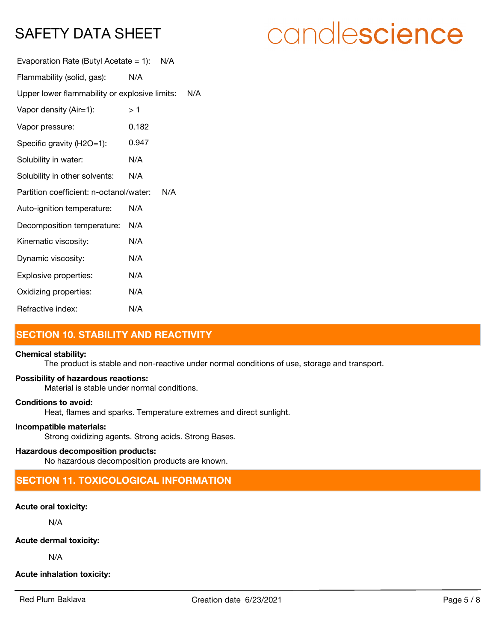| candlescience |  |  |
|---------------|--|--|
|               |  |  |

| Evaporation Rate (Butyl Acetate = 1): $N/A$    |       |     |
|------------------------------------------------|-------|-----|
| Flammability (solid, gas):                     | N/A   |     |
| Upper lower flammability or explosive limits:  |       | N/A |
| Vapor density (Air=1):                         | >1    |     |
| Vapor pressure:                                | 0.182 |     |
| Specific gravity (H2O=1):                      | 0.947 |     |
| Solubility in water:                           | N/A   |     |
| Solubility in other solvents:                  | N/A   |     |
| Partition coefficient: n-octanol/water:<br>N/A |       |     |
| Auto-ignition temperature:                     | N/A   |     |
| Decomposition temperature:                     | N/A   |     |
| Kinematic viscosity:                           | N/A   |     |
| Dynamic viscosity:                             | N/A   |     |
| Explosive properties:                          | N/A   |     |
| Oxidizing properties:                          | N/A   |     |
| Refractive index:                              | N/A   |     |

# **SECTION 10. STABILITY AND REACTIVITY**

#### **Chemical stability:**

The product is stable and non-reactive under normal conditions of use, storage and transport.

#### **Possibility of hazardous reactions:**

Material is stable under normal conditions.

#### **Conditions to avoid:**

Heat, flames and sparks. Temperature extremes and direct sunlight.

#### **Incompatible materials:**

Strong oxidizing agents. Strong acids. Strong Bases.

#### **Hazardous decomposition products:**

No hazardous decomposition products are known.

# **SECTION 11. TOXICOLOGICAL INFORMATION**

#### **Acute oral toxicity:**

N/A

**Acute dermal toxicity:**

N/A

**Acute inhalation toxicity:**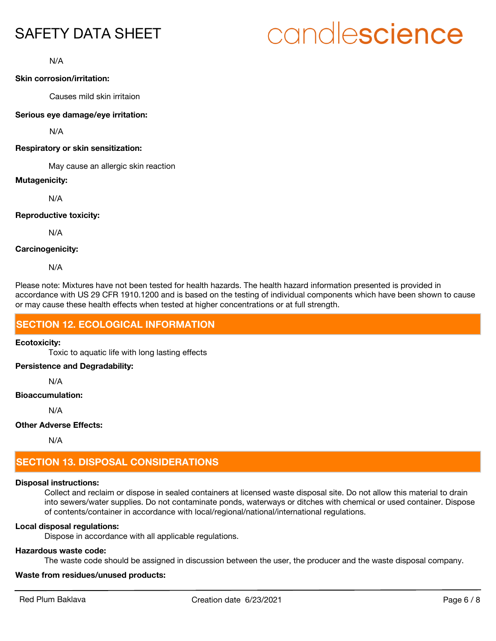# candlescience

N/A

#### **Skin corrosion/irritation:**

Causes mild skin irritaion

#### **Serious eye damage/eye irritation:**

N/A

#### **Respiratory or skin sensitization:**

May cause an allergic skin reaction

#### **Mutagenicity:**

N/A

#### **Reproductive toxicity:**

N/A

#### **Carcinogenicity:**

N/A

Please note: Mixtures have not been tested for health hazards. The health hazard information presented is provided in accordance with US 29 CFR 1910.1200 and is based on the testing of individual components which have been shown to cause or may cause these health effects when tested at higher concentrations or at full strength.

# **SECTION 12. ECOLOGICAL INFORMATION**

#### **Ecotoxicity:**

Toxic to aquatic life with long lasting effects

#### **Persistence and Degradability:**

N/A

#### **Bioaccumulation:**

N/A

#### **Other Adverse Effects:**

N/A

# **SECTION 13. DISPOSAL CONSIDERATIONS**

### **Disposal instructions:**

Collect and reclaim or dispose in sealed containers at licensed waste disposal site. Do not allow this material to drain into sewers/water supplies. Do not contaminate ponds, waterways or ditches with chemical or used container. Dispose of contents/container in accordance with local/regional/national/international regulations.

### **Local disposal regulations:**

Dispose in accordance with all applicable regulations.

### **Hazardous waste code:**

The waste code should be assigned in discussion between the user, the producer and the waste disposal company.

### **Waste from residues/unused products:**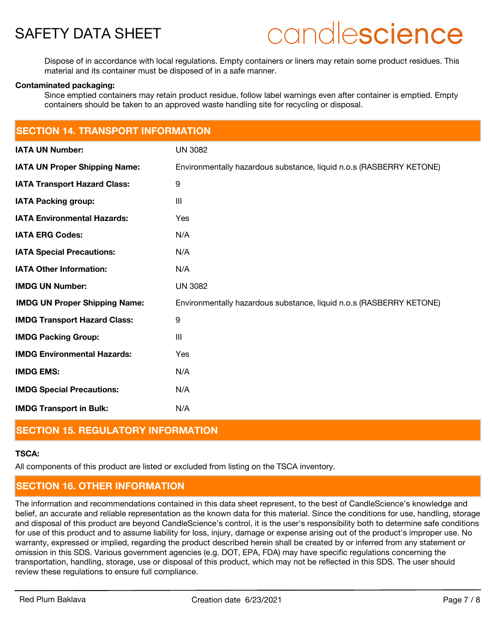

# candlescience

Dispose of in accordance with local regulations. Empty containers or liners may retain some product residues. This material and its container must be disposed of in a safe manner.

#### **Contaminated packaging:**

Since emptied containers may retain product residue, follow label warnings even after container is emptied. Empty containers should be taken to an approved waste handling site for recycling or disposal.

| <b>SECTION 14. TRANSPORT INFORMATION</b> |                                                                     |  |
|------------------------------------------|---------------------------------------------------------------------|--|
| <b>IATA UN Number:</b>                   | <b>UN 3082</b>                                                      |  |
| <b>IATA UN Proper Shipping Name:</b>     | Environmentally hazardous substance, liquid n.o.s (RASBERRY KETONE) |  |
| <b>IATA Transport Hazard Class:</b>      | 9                                                                   |  |
| <b>IATA Packing group:</b>               | $\mathbf{III}$                                                      |  |
| <b>IATA Environmental Hazards:</b>       | Yes                                                                 |  |
| <b>IATA ERG Codes:</b>                   | N/A                                                                 |  |
| <b>IATA Special Precautions:</b>         | N/A                                                                 |  |
| <b>IATA Other Information:</b>           | N/A                                                                 |  |
| <b>IMDG UN Number:</b>                   | <b>UN 3082</b>                                                      |  |
| <b>IMDG UN Proper Shipping Name:</b>     | Environmentally hazardous substance, liquid n.o.s (RASBERRY KETONE) |  |
| <b>IMDG Transport Hazard Class:</b>      | 9                                                                   |  |
| <b>IMDG Packing Group:</b>               | $\mathbf{III}$                                                      |  |
| <b>IMDG Environmental Hazards:</b>       | <b>Yes</b>                                                          |  |
| <b>IMDG EMS:</b>                         | N/A                                                                 |  |
| <b>IMDG Special Precautions:</b>         | N/A                                                                 |  |
| <b>IMDG Transport in Bulk:</b>           | N/A                                                                 |  |

# **SECTION 15. REGULATORY INFORMATION**

### **TSCA:**

All components of this product are listed or excluded from listing on the TSCA inventory.

# **SECTION 16. OTHER INFORMATION**

The information and recommendations contained in this data sheet represent, to the best of CandleScience's knowledge and belief, an accurate and reliable representation as the known data for this material. Since the conditions for use, handling, storage and disposal of this product are beyond CandleScience's control, it is the user's responsibility both to determine safe conditions for use of this product and to assume liability for loss, injury, damage or expense arising out of the product's improper use. No warranty, expressed or implied, regarding the product described herein shall be created by or inferred from any statement or omission in this SDS. Various government agencies (e.g. DOT, EPA, FDA) may have specific regulations concerning the transportation, handling, storage, use or disposal of this product, which may not be reflected in this SDS. The user should review these regulations to ensure full compliance.